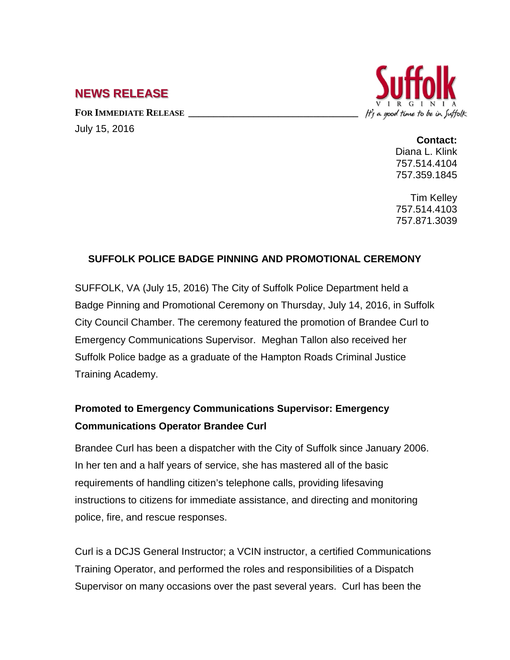## **NEWS RELEASE**

FOR **IMMEDIATE RELEASE** July 15, 2016



## **Contact:**

Diana L. Klink 757.514.4104 757.359.1845

Tim Kelley 757.514.4103 757.871.3039

## **SUFFOLK POLICE BADGE PINNING AND PROMOTIONAL CEREMONY**

SUFFOLK, VA (July 15, 2016) The City of Suffolk Police Department held a Badge Pinning and Promotional Ceremony on Thursday, July 14, 2016, in Suffolk City Council Chamber. The ceremony featured the promotion of Brandee Curl to Emergency Communications Supervisor. Meghan Tallon also received her Suffolk Police badge as a graduate of the Hampton Roads Criminal Justice Training Academy.

## **Promoted to Emergency Communications Supervisor: Emergency Communications Operator Brandee Curl**

Brandee Curl has been a dispatcher with the City of Suffolk since January 2006. In her ten and a half years of service, she has mastered all of the basic requirements of handling citizen's telephone calls, providing lifesaving instructions to citizens for immediate assistance, and directing and monitoring police, fire, and rescue responses.

Curl is a DCJS General Instructor; a VCIN instructor, a certified Communications Training Operator, and performed the roles and responsibilities of a Dispatch Supervisor on many occasions over the past several years. Curl has been the